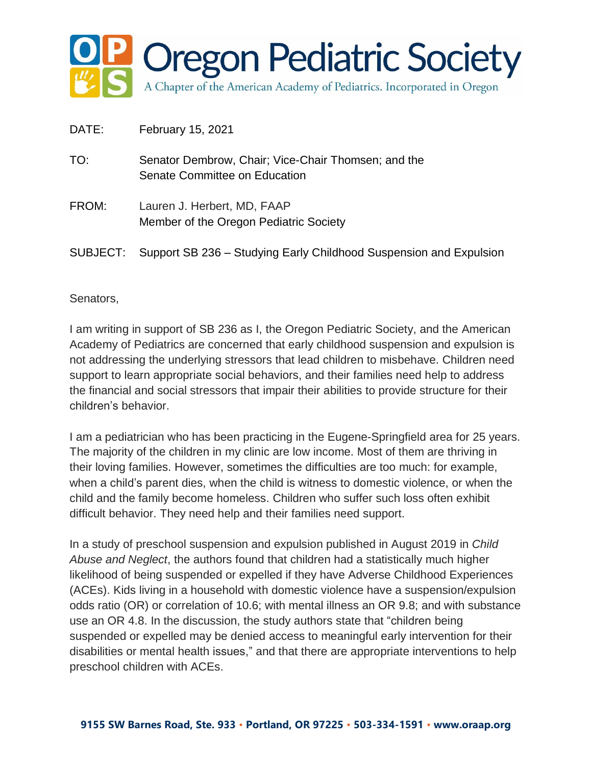

| DATE:    | February 15, 2021                                                                    |
|----------|--------------------------------------------------------------------------------------|
| TO:      | Senator Dembrow, Chair; Vice-Chair Thomsen; and the<br>Senate Committee on Education |
| FROM:    | Lauren J. Herbert, MD, FAAP<br>Member of the Oregon Pediatric Society                |
| SUBJECT: | Support SB 236 – Studying Early Childhood Suspension and Expulsion                   |

Senators,

I am writing in support of SB 236 as I, the Oregon Pediatric Society, and the American Academy of Pediatrics are concerned that early childhood suspension and expulsion is not addressing the underlying stressors that lead children to misbehave. Children need support to learn appropriate social behaviors, and their families need help to address the financial and social stressors that impair their abilities to provide structure for their children's behavior.

I am a pediatrician who has been practicing in the Eugene-Springfield area for 25 years. The majority of the children in my clinic are low income. Most of them are thriving in their loving families. However, sometimes the difficulties are too much: for example, when a child's parent dies, when the child is witness to domestic violence, or when the child and the family become homeless. Children who suffer such loss often exhibit difficult behavior. They need help and their families need support.

In a study of preschool suspension and expulsion published in August 2019 in *Child Abuse and Neglect*, the authors found that children had a statistically much higher likelihood of being suspended or expelled if they have Adverse Childhood Experiences (ACEs). Kids living in a household with domestic violence have a suspension/expulsion odds ratio (OR) or correlation of 10.6; with mental illness an OR 9.8; and with substance use an OR 4.8. In the discussion, the study authors state that "children being suspended or expelled may be denied access to meaningful early intervention for their disabilities or mental health issues," and that there are appropriate interventions to help preschool children with ACEs.